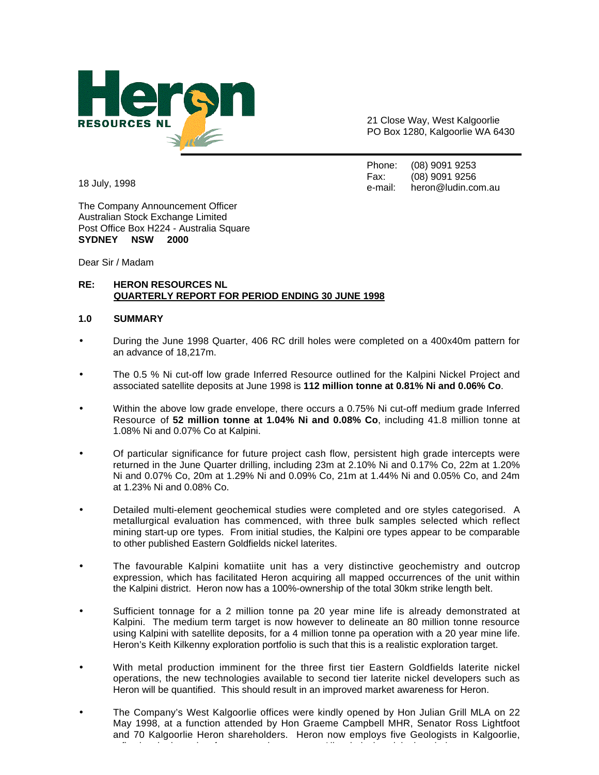

21 Close Way, West Kalgoorlie PO Box 1280, Kalgoorlie WA 6430

Phone: (08) 9091 9253 Fax: (08) 9091 9256 e-mail: heron@ludin.com.au

18 July, 1998

The Company Announcement Officer Australian Stock Exchange Limited Post Office Box H224 - Australia Square **SYDNEY NSW 2000**

Dear Sir / Madam

# **RE: HERON RESOURCES NL QUARTERLY REPORT FOR PERIOD ENDING 30 JUNE 1998**

# **1.0 SUMMARY**

- During the June 1998 Quarter, 406 RC drill holes were completed on a 400x40m pattern for an advance of 18,217m.
- The 0.5 % Ni cut-off low grade Inferred Resource outlined for the Kalpini Nickel Project and associated satellite deposits at June 1998 is **112 million tonne at 0.81% Ni and 0.06% Co**.
- Within the above low grade envelope, there occurs a 0.75% Ni cut-off medium grade Inferred Resource of **52 million tonne at 1.04% Ni and 0.08% Co**, including 41.8 million tonne at 1.08% Ni and 0.07% Co at Kalpini.
- Of particular significance for future project cash flow, persistent high grade intercepts were returned in the June Quarter drilling, including 23m at 2.10% Ni and 0.17% Co, 22m at 1.20% Ni and 0.07% Co, 20m at 1.29% Ni and 0.09% Co, 21m at 1.44% Ni and 0.05% Co, and 24m at 1.23% Ni and 0.08% Co.
- Detailed multi-element geochemical studies were completed and ore styles categorised. A metallurgical evaluation has commenced, with three bulk samples selected which reflect mining start-up ore types. From initial studies, the Kalpini ore types appear to be comparable to other published Eastern Goldfields nickel laterites.
- The favourable Kalpini komatiite unit has a very distinctive geochemistry and outcrop expression, which has facilitated Heron acquiring all mapped occurrences of the unit within the Kalpini district. Heron now has a 100%-ownership of the total 30km strike length belt.
- Sufficient tonnage for a 2 million tonne pa 20 year mine life is already demonstrated at Kalpini. The medium term target is now however to delineate an 80 million tonne resource using Kalpini with satellite deposits, for a 4 million tonne pa operation with a 20 year mine life. Heron's Keith Kilkenny exploration portfolio is such that this is a realistic exploration target.
- With metal production imminent for the three first tier Eastern Goldfields laterite nickel operations, the new technologies available to second tier laterite nickel developers such as Heron will be quantified. This should result in an improved market awareness for Heron.
- The Company's West Kalgoorlie offices were kindly opened by Hon Julian Grill MLA on 22 May 1998, at a function attended by Hon Graeme Campbell MHR, Senator Ross Lightfoot and 70 Kalgoorlie Heron shareholders. Heron now employs five Geologists in Kalgoorlie, fluid ti th i the international time and the international time and the international time of the international<br>The international time and the international time and the international time and the international time of the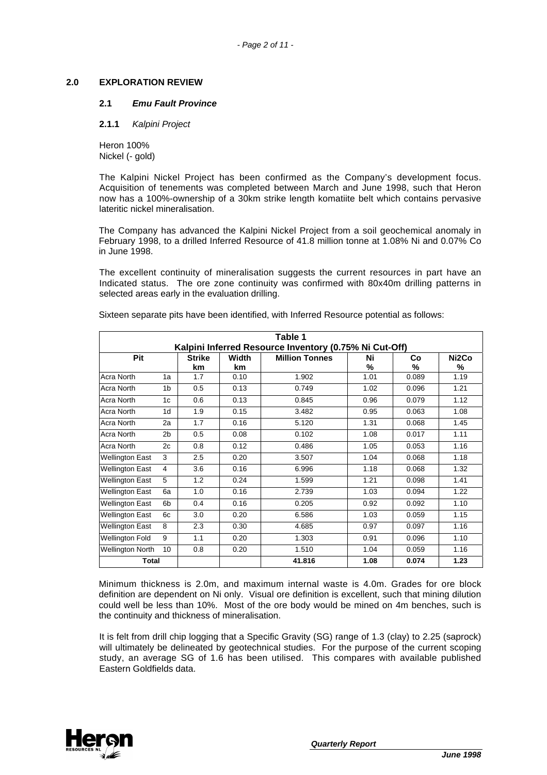### **2.0 EXPLORATION REVIEW**

#### **2.1** *Emu Fault Province*

**2.1.1** *Kalpini Project*

Heron 100% Nickel (- gold)

The Kalpini Nickel Project has been confirmed as the Company's development focus. Acquisition of tenements was completed between March and June 1998, such that Heron now has a 100%-ownership of a 30km strike length komatiite belt which contains pervasive lateritic nickel mineralisation.

The Company has advanced the Kalpini Nickel Project from a soil geochemical anomaly in February 1998, to a drilled Inferred Resource of 41.8 million tonne at 1.08% Ni and 0.07% Co in June 1998.

The excellent continuity of mineralisation suggests the current resources in part have an Indicated status. The ore zone continuity was confirmed with 80x40m drilling patterns in selected areas early in the evaluation drilling.

| Table 1                                                |                |                        |      |                       |      |       |                    |
|--------------------------------------------------------|----------------|------------------------|------|-----------------------|------|-------|--------------------|
| Kalpini Inferred Resource Inventory (0.75% Ni Cut-Off) |                |                        |      |                       |      |       |                    |
| Pit                                                    |                | <b>Strike</b><br>Width |      | <b>Million Tonnes</b> | Ni   | Co    | Ni <sub>2</sub> Co |
|                                                        |                | km                     | km   |                       | %    | %     | %                  |
| Acra North                                             | 1a             | 1.7                    | 0.10 | 1.902                 | 1.01 | 0.089 | 1.19               |
| Acra North                                             | 1 <sub>b</sub> | 0.5                    | 0.13 | 0.749                 | 1.02 | 0.096 | 1.21               |
| Acra North                                             | 1c             | 0.6                    | 0.13 | 0.845                 | 0.96 | 0.079 | 1.12               |
| Acra North                                             | 1 <sub>d</sub> | 1.9                    | 0.15 | 3.482                 | 0.95 | 0.063 | 1.08               |
| Acra North                                             | 2a             | 1.7                    | 0.16 | 5.120                 | 1.31 | 0.068 | 1.45               |
| Acra North                                             | 2 <sub>b</sub> | 0.5                    | 0.08 | 0.102                 | 1.08 | 0.017 | 1.11               |
| Acra North                                             | 2c             | 0.8                    | 0.12 | 0.486                 | 1.05 | 0.053 | 1.16               |
| <b>Wellington East</b>                                 | 3              | 2.5                    | 0.20 | 3.507                 | 1.04 | 0.068 | 1.18               |
| <b>Wellington East</b>                                 | $\overline{4}$ | 3.6                    | 0.16 | 6.996                 | 1.18 | 0.068 | 1.32               |
| <b>Wellington East</b>                                 | 5              | 1.2                    | 0.24 | 1.599                 | 1.21 | 0.098 | 1.41               |
| <b>Wellington East</b>                                 | 6a             | 1.0                    | 0.16 | 2.739                 | 1.03 | 0.094 | 1.22               |
| <b>Wellington East</b>                                 | 6 <sub>b</sub> | 0.4                    | 0.16 | 0.205                 | 0.92 | 0.092 | 1.10               |
| <b>Wellington East</b>                                 | 6c             | 3.0                    | 0.20 | 6.586                 | 1.03 | 0.059 | 1.15               |
| <b>Wellington East</b>                                 | 8              | 2.3                    | 0.30 | 4.685                 | 0.97 | 0.097 | 1.16               |
| <b>Wellington Fold</b>                                 | 9              | 1.1                    | 0.20 | 1.303                 | 0.91 | 0.096 | 1.10               |
| <b>Wellington North</b>                                | 10             | 0.8                    | 0.20 | 1.510                 | 1.04 | 0.059 | 1.16               |
| <b>Total</b>                                           |                |                        |      | 41.816                | 1.08 | 0.074 | 1.23               |

Sixteen separate pits have been identified, with Inferred Resource potential as follows:

Minimum thickness is 2.0m, and maximum internal waste is 4.0m. Grades for ore block definition are dependent on Ni only. Visual ore definition is excellent, such that mining dilution could well be less than 10%. Most of the ore body would be mined on 4m benches, such is the continuity and thickness of mineralisation.

It is felt from drill chip logging that a Specific Gravity (SG) range of 1.3 (clay) to 2.25 (saprock) will ultimately be delineated by geotechnical studies. For the purpose of the current scoping study, an average SG of 1.6 has been utilised. This compares with available published Eastern Goldfields data.

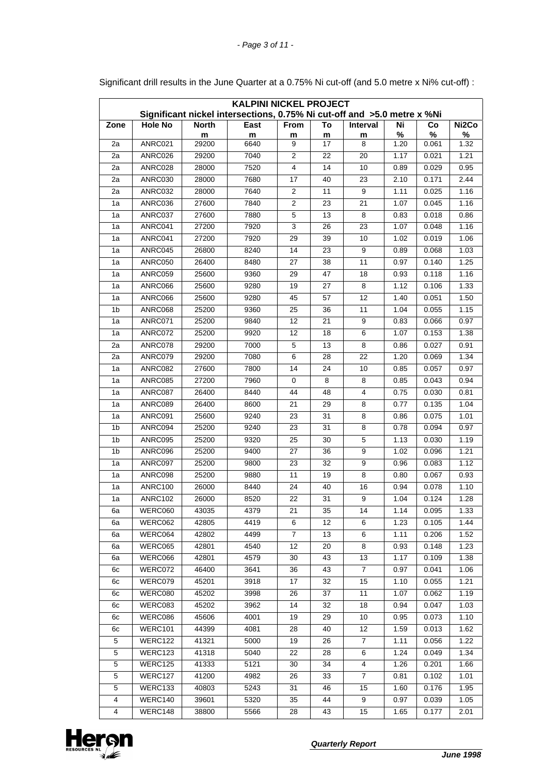| <b>KALPINI NICKEL PROJECT</b><br>Significant nickel intersections, 0.75% Ni cut-off and >5.0 metre x %Ni |                |              |           |                         |         |                  |           |            |                    |
|----------------------------------------------------------------------------------------------------------|----------------|--------------|-----------|-------------------------|---------|------------------|-----------|------------|--------------------|
|                                                                                                          |                |              |           |                         |         |                  |           |            |                    |
| Zone                                                                                                     | <b>Hole No</b> | <b>North</b> | East      | From                    | To      | Interval         | Ni        | Co         | Ni <sub>2</sub> Co |
| 2a                                                                                                       | ANRC021        | m<br>29200   | m<br>6640 | m<br>9                  | m<br>17 | m<br>8           | %<br>1.20 | %<br>0.061 | %<br>1.32          |
| 2a                                                                                                       | ANRC026        | 29200        | 7040      | $\overline{2}$          | 22      | 20               | 1.17      | 0.021      | 1.21               |
| $\overline{2a}$                                                                                          | ANRC028        | 28000        | 7520      | $\overline{\mathbf{4}}$ | 14      | 10               | 0.89      | 0.029      | 0.95               |
| 2a                                                                                                       | ANRC030        | 28000        | 7680      | 17                      | 40      | 23               | 2.10      | 0.171      | 2.44               |
| 2a                                                                                                       | ANRC032        | 28000        | 7640      | $\overline{2}$          | 11      | 9                | 1.11      | 0.025      | 1.16               |
| 1a                                                                                                       | ANRC036        | 27600        | 7840      | $\overline{c}$          | 23      | 21               | 1.07      | 0.045      | 1.16               |
| 1a                                                                                                       | ANRC037        | 27600        | 7880      | 5                       | 13      | 8                | 0.83      | 0.018      | 0.86               |
| 1a                                                                                                       | ANRC041        | 27200        | 7920      | 3                       | 26      | 23               | 1.07      | 0.048      | 1.16               |
| 1a                                                                                                       | ANRC041        | 27200        | 7920      | 29                      | 39      | 10               | 1.02      | 0.019      | 1.06               |
| 1a                                                                                                       | ANRC045        | 26800        | 8240      | 14                      | 23      | 9                | 0.89      | 0.068      | 1.03               |
| 1a                                                                                                       | ANRC050        | 26400        | 8480      | 27                      | 38      | 11               | 0.97      | 0.140      | 1.25               |
| 1a                                                                                                       | ANRC059        | 25600        | 9360      | 29                      | 47      | 18               | 0.93      | 0.118      | 1.16               |
| 1a                                                                                                       | ANRC066        | 25600        | 9280      | 19                      | 27      | 8                | 1.12      | 0.106      | 1.33               |
| 1a                                                                                                       | ANRC066        | 25600        | 9280      | 45                      | 57      | 12               | 1.40      | 0.051      | 1.50               |
| 1 <sub>b</sub>                                                                                           | ANRC068        | 25200        | 9360      | 25                      | 36      | 11               | 1.04      | 0.055      | 1.15               |
| 1a                                                                                                       | ANRC071        | 25200        | 9840      | 12                      | 21      | 9                | 0.83      | 0.066      | 0.97               |
| 1a                                                                                                       | ANRC072        | 25200        | 9920      | 12                      | 18      | 6                | 1.07      | 0.153      | 1.38               |
| 2a                                                                                                       | ANRC078        | 29200        | 7000      | 5                       | 13      | 8                | 0.86      | 0.027      | 0.91               |
| 2a                                                                                                       | ANRC079        | 29200        | 7080      | 6                       | 28      | 22               | 1.20      | 0.069      | 1.34               |
| 1a                                                                                                       | ANRC082        | 27600        | 7800      | 14                      | 24      | 10               | 0.85      | 0.057      | 0.97               |
| 1a                                                                                                       | ANRC085        | 27200        | 7960      | 0                       | 8       | 8                | 0.85      | 0.043      | 0.94               |
| 1a                                                                                                       | ANRC087        | 26400        | 8440      | 44                      | 48      | 4                | 0.75      | 0.030      | 0.81               |
| 1a                                                                                                       | ANRC089        | 26400        | 8600      | 21                      | 29      | 8                | 0.77      | 0.135      | 1.04               |
| 1a                                                                                                       | ANRC091        | 25600        | 9240      | 23                      | 31      | 8                | 0.86      | 0.075      | 1.01               |
| 1 <sub>b</sub>                                                                                           | ANRC094        | 25200        | 9240      | $\overline{23}$         | 31      | 8                | 0.78      | 0.094      | 0.97               |
| 1 <sub>b</sub>                                                                                           | ANRC095        | 25200        | 9320      | 25                      | 30      | 5                | 1.13      | 0.030      | 1.19               |
| 1 <sub>b</sub>                                                                                           | ANRC096        | 25200        | 9400      | 27                      | 36      | $\boldsymbol{9}$ | 1.02      | 0.096      | 1.21               |
| 1a                                                                                                       | ANRC097        | 25200        | 9800      | 23                      | 32      | 9                | 0.96      | 0.083      | 1.12               |
| 1a                                                                                                       | ANRC098        | 25200        | 9880      | 11                      | 19      | 8                | 0.80      | 0.067      | 0.93               |
| 1a                                                                                                       | <b>ANRC100</b> | 26000        | 8440      | 24                      | 40      | 16               | 0.94      | 0.078      | 1.10               |
| 1a                                                                                                       | <b>ANRC102</b> | 26000        | 8520      | 22                      | 31      | $\boldsymbol{9}$ | 1.04      | 0.124      | 1.28               |
| 6a                                                                                                       | WERC060        | 43035        | 4379      | $\overline{21}$         | 35      | 14               | 1.14      | 0.095      | 1.33               |
| 6а                                                                                                       | WERC062        | 42805        | 4419      | 6                       | 12      | 6                | 1.23      | 0.105      | 1.44               |
| 6a                                                                                                       | WERC064        | 42802        | 4499      | $\overline{7}$          | 13      | 6                | 1.11      | 0.206      | 1.52               |
| 6a                                                                                                       | WERC065        | 42801        | 4540      | 12                      | 20      | 8                | 0.93      | 0.148      | 1.23               |
| 6а                                                                                                       | WERC066        | 42801        | 4579      | 30                      | 43      | 13               | 1.17      | 0.109      | 1.38               |
| 6с                                                                                                       | WERC072        | 46400        | 3641      | 36                      | 43      | $\boldsymbol{7}$ | 0.97      | 0.041      | 1.06               |
| 6с                                                                                                       | WERC079        | 45201        | 3918      | 17                      | 32      | 15               | 1.10      | 0.055      | 1.21               |
| 6с                                                                                                       | WERC080        | 45202        | 3998      | 26                      | 37      | 11               | 1.07      | 0.062      | 1.19               |
| 6с                                                                                                       | WERC083        | 45202        | 3962      | 14                      | 32      | 18               | 0.94      | 0.047      | 1.03               |
| 6с                                                                                                       | WERC086        | 45606        | 4001      | 19                      | 29      | 10               | 0.95      | 0.073      | 1.10               |
| 6с                                                                                                       | WERC101        | 44399        | 4081      | 28                      | 40      | 12               | 1.59      | 0.013      | 1.62               |
| 5                                                                                                        | WERC122        | 41321        | 5000      | 19                      | 26      | 7                | 1.11      | 0.056      | 1.22               |
| 5                                                                                                        | WERC123        | 41318        | 5040      | 22                      | 28      | 6                | 1.24      | 0.049      | 1.34               |
| 5                                                                                                        | WERC125        | 41333        | 5121      | 30                      | 34      | $\overline{4}$   | 1.26      | 0.201      | 1.66               |
| 5                                                                                                        | WERC127        | 41200        | 4982      | 26                      | 33      | 7                | 0.81      | 0.102      | 1.01               |
| 5                                                                                                        | WERC133        | 40803        | 5243      | 31                      | 46      | 15               | 1.60      | 0.176      | 1.95               |
| $\overline{\mathbf{4}}$                                                                                  | WERC140        | 39601        | 5320      | 35                      | 44      | 9                | 0.97      | 0.039      | 1.05               |
| $\overline{\mathbf{4}}$                                                                                  | WERC148        | 38800        | 5566      | 28                      | 43      | 15               | 1.65      | 0.177      | 2.01               |

Significant drill results in the June Quarter at a 0.75% Ni cut-off (and 5.0 metre x Ni% cut-off) :

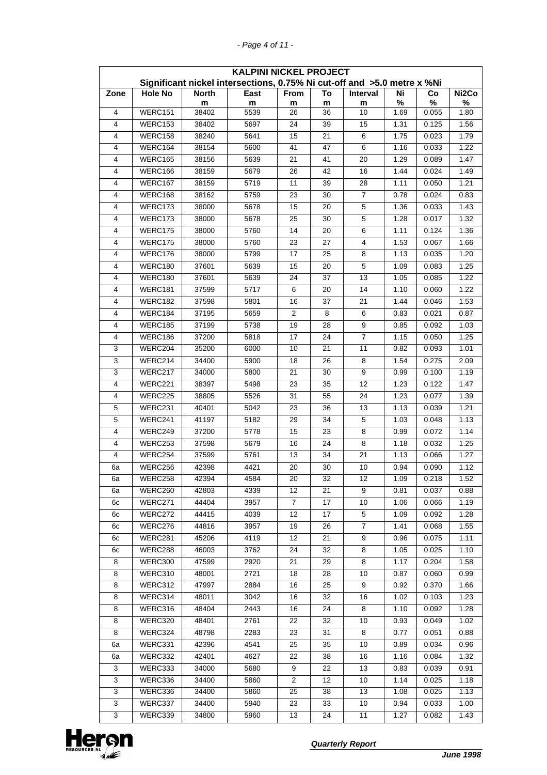| <b>KALPINI NICKEL PROJECT</b> |                |              |                                                                         |                |                 |                 |      |       |                    |
|-------------------------------|----------------|--------------|-------------------------------------------------------------------------|----------------|-----------------|-----------------|------|-------|--------------------|
|                               |                |              | Significant nickel intersections, 0.75% Ni cut-off and >5.0 metre x %Ni |                |                 |                 |      |       |                    |
| Zone                          | <b>Hole No</b> | <b>North</b> | East                                                                    | From           | To              | Interval        | Ni   | Co    | Ni <sub>2</sub> Co |
|                               |                | m            | m                                                                       | m              | m               | m               | %    | %     | %                  |
| $\overline{4}$                | WERC151        | 38402        | 5539                                                                    | 26             | 36              | 10              | 1.69 | 0.055 | 1.80               |
| $\overline{4}$                | WERC153        | 38402        | 5697                                                                    | 24             | 39              | 15              | 1.31 | 0.125 | 1.56               |
| $\overline{4}$                | WERC158        | 38240        | 5641                                                                    | 15             | 21              | 6               | 1.75 | 0.023 | 1.79               |
| 4                             | WERC164        | 38154        | 5600                                                                    | 41             | 47              | 6               | 1.16 | 0.033 | 1.22               |
| 4                             | WERC165        | 38156        | 5639                                                                    | 21             | 41              | 20              | 1.29 | 0.089 | 1.47               |
| 4                             | WERC166        | 38159        | 5679                                                                    | 26             | 42              | 16              | 1.44 | 0.024 | 1.49               |
| 4                             | WERC167        | 38159        | 5719                                                                    | 11             | 39              | 28              | 1.11 | 0.050 | 1.21               |
| 4                             | WERC168        | 38162        | 5759                                                                    | 23             | 30              | $\overline{7}$  | 0.78 | 0.024 | 0.83               |
| $\overline{4}$                | WERC173        | 38000        | 5678                                                                    | 15             | 20              | 5               | 1.36 | 0.033 | 1.43               |
| $\overline{4}$                | WERC173        | 38000        | 5678                                                                    | 25             | 30              | 5               | 1.28 | 0.017 | 1.32               |
| 4                             | WERC175        | 38000        | 5760                                                                    | 14             | 20              | 6               | 1.11 | 0.124 | 1.36               |
| $\overline{4}$                | WERC175        | 38000        | 5760                                                                    | 23             | 27              | 4               | 1.53 | 0.067 | 1.66               |
| 4                             | WERC176        | 38000        | 5799                                                                    | 17             | 25              | 8               | 1.13 | 0.035 | 1.20               |
| $\overline{4}$                | WERC180        | 37601        | 5639                                                                    | 15             | 20              | 5               | 1.09 | 0.083 | 1.25               |
| 4                             | WERC180        | 37601        | 5639                                                                    | 24             | 37              | 13              | 1.05 | 0.085 | 1.22               |
| 4                             | WERC181        | 37599        | 5717                                                                    | 6              | 20              | 14              | 1.10 | 0.060 | 1.22               |
| $\overline{4}$                | WERC182        | 37598        | 5801                                                                    | 16             | 37              | 21              | 1.44 | 0.046 | 1.53               |
| 4                             | WERC184        | 37195        | 5659                                                                    | $\overline{2}$ | 8               | 6               | 0.83 | 0.021 | 0.87               |
| 4                             | WERC185        | 37199        | 5738                                                                    | 19             | 28              | 9               | 0.85 | 0.092 | 1.03               |
| $\overline{4}$                | WERC186        | 37200        | 5818                                                                    | 17             | 24              | $\overline{7}$  | 1.15 | 0.050 | 1.25               |
| 3                             | WERC204        | 35200        | 6000                                                                    | 10             | 21              | 11              | 0.82 | 0.093 | 1.01               |
| 3                             | WERC214        | 34400        | 5900                                                                    | 18             | 26              | 8               | 1.54 | 0.275 | 2.09               |
| 3                             | WERC217        | 34000        | 5800                                                                    | 21             | 30              | 9               | 0.99 | 0.100 | 1.19               |
| $\overline{4}$                | WERC221        | 38397        | 5498                                                                    | 23             | 35              | 12              | 1.23 | 0.122 | 1.47               |
| 4                             | WERC225        | 38805        | 5526                                                                    | 31             | 55              | 24              | 1.23 | 0.077 | 1.39               |
| 5                             | WERC231        | 40401        | 5042                                                                    | 23             | 36              | 13              | 1.13 | 0.039 | 1.21               |
| $\mathbf 5$                   | WERC241        | 41197        | 5182                                                                    | 29             | 34              | 5               | 1.03 | 0.048 | 1.13               |
| $\overline{4}$                | WERC249        | 37200        | 5778                                                                    | 15             | 23              | 8               | 0.99 | 0.072 | 1.14               |
| 4                             | WERC253        | 37598        | 5679                                                                    | 16             | 24              | 8               | 1.18 | 0.032 | 1.25               |
| $\overline{4}$                | WERC254        | 37599        | 5761                                                                    | 13             | 34              | 21              | 1.13 | 0.066 | 1.27               |
| 6a                            | WERC256        | 42398        | 4421                                                                    | 20             | 30              | 10              | 0.94 | 0.090 | 1.12               |
| 6a                            | WERC258        | 42394        | 4584                                                                    | 20             | $\overline{32}$ | $\overline{12}$ | 1.09 | 0.218 | 1.52               |
| 6а                            | WERC260        | 42803        | 4339                                                                    | 12             | 21              | 9               | 0.81 | 0.037 | 0.88               |
| 6с                            | WERC271        | 44404        | 3957                                                                    | 7              | 17              | 10              | 1.06 | 0.066 | 1.19               |
| 6с                            | WERC272        | 44415        | 4039                                                                    | 12             | 17              | 5               | 1.09 | 0.092 | 1.28               |
| 6с                            | WERC276        | 44816        | 3957                                                                    | 19             | 26              | $\overline{7}$  | 1.41 | 0.068 | 1.55               |
| 6с                            | WERC281        | 45206        | 4119                                                                    | 12             | 21              | 9               | 0.96 | 0.075 | 1.11               |
| 6с                            | WERC288        | 46003        | 3762                                                                    | 24             | 32              | 8               | 1.05 | 0.025 | 1.10               |
| 8                             | WERC300        | 47599        | 2920                                                                    | 21             | 29              | 8               | 1.17 | 0.204 | 1.58               |
| 8                             | WERC310        | 48001        | 2721                                                                    | 18             | 28              | 10              | 0.87 | 0.060 | 0.99               |
| 8                             | WERC312        | 47997        | 2884                                                                    | 16             | 25              | 9               | 0.92 | 0.370 | 1.66               |
| 8                             | WERC314        | 48011        | 3042                                                                    | 16             | 32              | 16              | 1.02 | 0.103 | 1.23               |
| 8                             | WERC316        | 48404        | 2443                                                                    | 16             | 24              | 8               | 1.10 | 0.092 | 1.28               |
| 8                             | WERC320        | 48401        | 2761                                                                    | 22             | 32              | 10              | 0.93 | 0.049 | 1.02               |
| 8                             | WERC324        | 48798        | 2283                                                                    | 23             | 31              | 8               | 0.77 | 0.051 | 0.88               |
| 6a                            | WERC331        | 42396        | 4541                                                                    | 25             | 35              | 10              | 0.89 | 0.034 | 0.96               |
| 6а                            | WERC332        | 42401        | 4627                                                                    | 22             | 38              | 16              | 1.16 | 0.084 | 1.32               |
| 3                             | WERC333        | 34000        | 5680                                                                    | 9              | 22              | 13              | 0.83 | 0.039 | 0.91               |
| 3                             | WERC336        | 34400        | 5860                                                                    | 2              | 12              | 10              | 1.14 | 0.025 | 1.18               |
| 3                             | WERC336        | 34400        | 5860                                                                    | 25             | 38              | 13              | 1.08 | 0.025 | 1.13               |
| 3                             | WERC337        | 34400        | 5940                                                                    | 23             | 33              | 10              | 0.94 | 0.033 | 1.00               |
| 3                             | WERC339        | 34800        | 5960                                                                    | 13             | 24              | 11              | 1.27 | 0.082 | 1.43               |



*- Page 4 of 11 -*

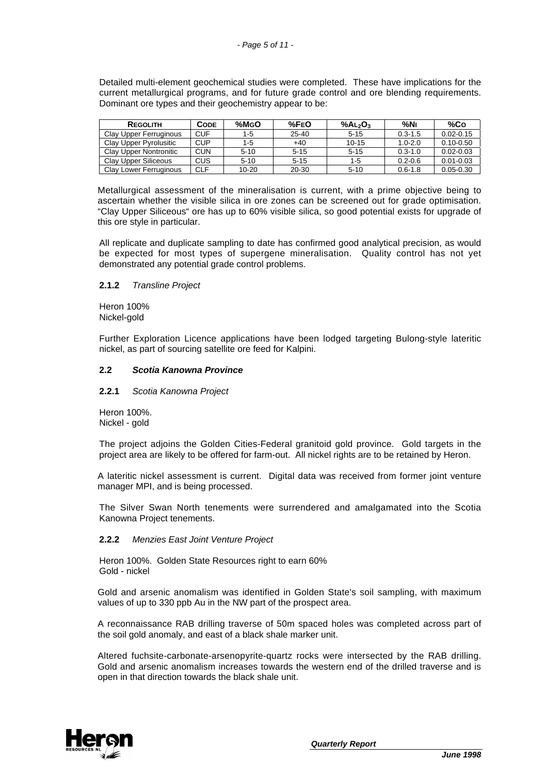Detailed multi-element geochemical studies were completed. These have implications for the current metallurgical programs, and for future grade control and ore blending requirements. Dominant ore types and their geochemistry appear to be:

| <b>REGOLITH</b>        | Соре       | $%$ MgO | %FEO      | % $A2O3$  | %Nı         | %Co           |
|------------------------|------------|---------|-----------|-----------|-------------|---------------|
| Clay Upper Ferruginous | CUF        | $1 - 5$ | $25 - 40$ | $5 - 15$  | $0.3 - 1.5$ | $0.02 - 0.15$ |
| Clay Upper Pyrolusitic | <b>CUP</b> | $1 - 5$ | $+40$     | $10 - 15$ | $1.0 - 2.0$ | $0.10 - 0.50$ |
| Clay Upper Nontronitic | <b>CUN</b> | $5-10$  | $5 - 15$  | $5 - 15$  | $0.3 - 1.0$ | $0.02 - 0.03$ |
| Clay Upper Siliceous   | CUS        | $5-10$  | $5 - 15$  | $1 - 5$   | $0.2 - 0.6$ | $0.01 - 0.03$ |
| Clay Lower Ferruginous | CLF        | 10-20   | 20-30     | $5 - 10$  | $0.6 - 1.8$ | $0.05 - 0.30$ |

Metallurgical assessment of the mineralisation is current, with a prime objective being to ascertain whether the visible silica in ore zones can be screened out for grade optimisation. "Clay Upper Siliceous" ore has up to 60% visible silica, so good potential exists for upgrade of this ore style in particular.

All replicate and duplicate sampling to date has confirmed good analytical precision, as would be expected for most types of supergene mineralisation. Quality control has not yet demonstrated any potential grade control problems.

### **2.1.2** *Transline Project*

Heron 100% Nickel-gold

Further Exploration Licence applications have been lodged targeting Bulong-style lateritic nickel, as part of sourcing satellite ore feed for Kalpini.

### **2.2** *Scotia Kanowna Province*

**2.2.1** *Scotia Kanowna Project*

Heron 100%. Nickel - gold

The project adjoins the Golden Cities-Federal granitoid gold province. Gold targets in the project area are likely to be offered for farm-out. All nickel rights are to be retained by Heron.

A lateritic nickel assessment is current. Digital data was received from former joint venture manager MPI, and is being processed.

The Silver Swan North tenements were surrendered and amalgamated into the Scotia Kanowna Project tenements.

# **2.2.2** *Menzies East Joint Venture Project*

Heron 100%. Golden State Resources right to earn 60% Gold - nickel

Gold and arsenic anomalism was identified in Golden State's soil sampling, with maximum values of up to 330 ppb Au in the NW part of the prospect area.

A reconnaissance RAB drilling traverse of 50m spaced holes was completed across part of the soil gold anomaly, and east of a black shale marker unit.

Altered fuchsite-carbonate-arsenopyrite-quartz rocks were intersected by the RAB drilling. Gold and arsenic anomalism increases towards the western end of the drilled traverse and is open in that direction towards the black shale unit.

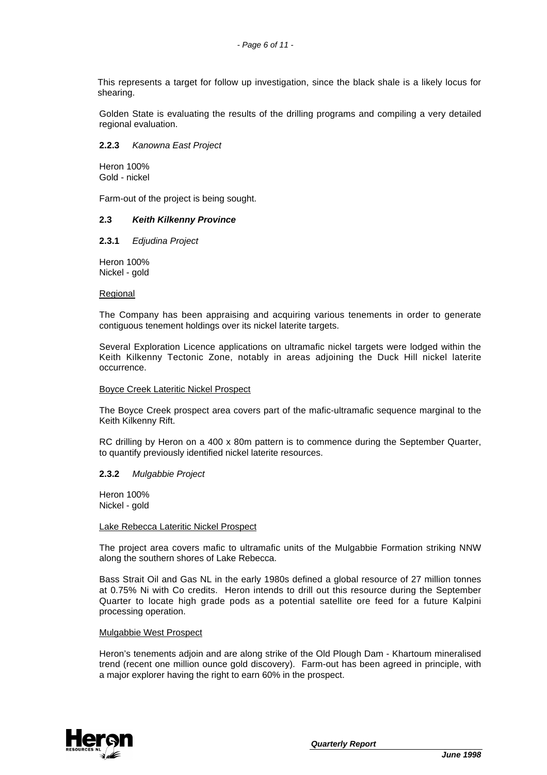This represents a target for follow up investigation, since the black shale is a likely locus for shearing.

Golden State is evaluating the results of the drilling programs and compiling a very detailed regional evaluation.

### **2.2.3** *Kanowna East Project*

Heron 100% Gold - nickel

Farm-out of the project is being sought.

### **2.3** *Keith Kilkenny Province*

### **2.3.1** *Edjudina Project*

Heron 100% Nickel - gold

### Regional

The Company has been appraising and acquiring various tenements in order to generate contiguous tenement holdings over its nickel laterite targets.

Several Exploration Licence applications on ultramafic nickel targets were lodged within the Keith Kilkenny Tectonic Zone, notably in areas adjoining the Duck Hill nickel laterite occurrence.

#### Boyce Creek Lateritic Nickel Prospect

The Boyce Creek prospect area covers part of the mafic-ultramafic sequence marginal to the Keith Kilkenny Rift.

RC drilling by Heron on a 400 x 80m pattern is to commence during the September Quarter, to quantify previously identified nickel laterite resources.

### **2.3.2** *Mulgabbie Project*

Heron 100% Nickel - gold

#### Lake Rebecca Lateritic Nickel Prospect

The project area covers mafic to ultramafic units of the Mulgabbie Formation striking NNW along the southern shores of Lake Rebecca.

Bass Strait Oil and Gas NL in the early 1980s defined a global resource of 27 million tonnes at 0.75% Ni with Co credits. Heron intends to drill out this resource during the September Quarter to locate high grade pods as a potential satellite ore feed for a future Kalpini processing operation.

### Mulgabbie West Prospect

Heron's tenements adjoin and are along strike of the Old Plough Dam - Khartoum mineralised trend (recent one million ounce gold discovery). Farm-out has been agreed in principle, with a major explorer having the right to earn 60% in the prospect.

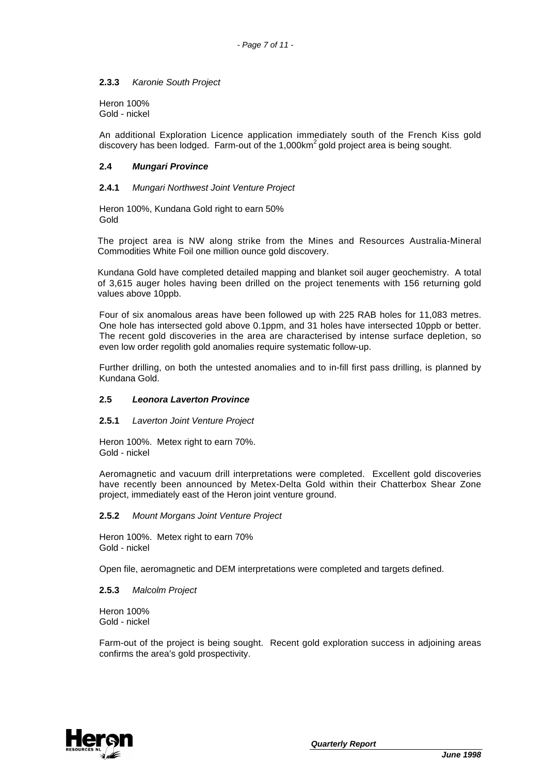# **2.3.3** *Karonie South Project*

Heron 100% Gold - nickel

An additional Exploration Licence application immediately south of the French Kiss gold discovery has been lodged. Farm-out of the  $1,000km^2$  gold project area is being sought.

### **2.4** *Mungari Province*

### **2.4.1** *Mungari Northwest Joint Venture Project*

Heron 100%, Kundana Gold right to earn 50% Gold

The project area is NW along strike from the Mines and Resources Australia-Mineral Commodities White Foil one million ounce gold discovery.

Kundana Gold have completed detailed mapping and blanket soil auger geochemistry. A total of 3,615 auger holes having been drilled on the project tenements with 156 returning gold values above 10ppb.

Four of six anomalous areas have been followed up with 225 RAB holes for 11,083 metres. One hole has intersected gold above 0.1ppm, and 31 holes have intersected 10ppb or better. The recent gold discoveries in the area are characterised by intense surface depletion, so even low order regolith gold anomalies require systematic follow-up.

Further drilling, on both the untested anomalies and to in-fill first pass drilling, is planned by Kundana Gold.

### **2.5** *Leonora Laverton Province*

### **2.5.1** *Laverton Joint Venture Project*

Heron 100%. Metex right to earn 70%. Gold - nickel

Aeromagnetic and vacuum drill interpretations were completed. Excellent gold discoveries have recently been announced by Metex-Delta Gold within their Chatterbox Shear Zone project, immediately east of the Heron joint venture ground.

**2.5.2** *Mount Morgans Joint Venture Project*

Heron 100%. Metex right to earn 70% Gold - nickel

Open file, aeromagnetic and DEM interpretations were completed and targets defined.

### **2.5.3** *Malcolm Project*

Heron 100% Gold - nickel

Farm-out of the project is being sought. Recent gold exploration success in adjoining areas confirms the area's gold prospectivity.

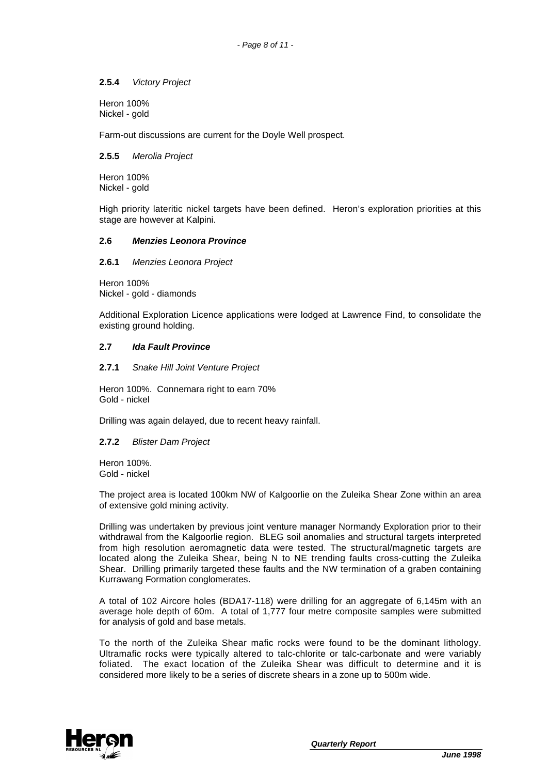## **2.5.4** *Victory Project*

Heron 100% Nickel - gold

Farm-out discussions are current for the Doyle Well prospect.

### **2.5.5** *Merolia Project*

Heron 100% Nickel - gold

High priority lateritic nickel targets have been defined. Heron's exploration priorities at this stage are however at Kalpini.

### **2.6** *Menzies Leonora Province*

**2.6.1** *Menzies Leonora Project*

Heron 100% Nickel - gold - diamonds

Additional Exploration Licence applications were lodged at Lawrence Find, to consolidate the existing ground holding.

## **2.7** *Ida Fault Province*

### **2.7.1** *Snake Hill Joint Venture Project*

Heron 100%. Connemara right to earn 70% Gold - nickel

Drilling was again delayed, due to recent heavy rainfall.

### **2.7.2** *Blister Dam Project*

Heron 100%. Gold - nickel

The project area is located 100km NW of Kalgoorlie on the Zuleika Shear Zone within an area of extensive gold mining activity.

Drilling was undertaken by previous joint venture manager Normandy Exploration prior to their withdrawal from the Kalgoorlie region. BLEG soil anomalies and structural targets interpreted from high resolution aeromagnetic data were tested. The structural/magnetic targets are located along the Zuleika Shear, being N to NE trending faults cross-cutting the Zuleika Shear. Drilling primarily targeted these faults and the NW termination of a graben containing Kurrawang Formation conglomerates.

A total of 102 Aircore holes (BDA17-118) were drilling for an aggregate of 6,145m with an average hole depth of 60m. A total of 1,777 four metre composite samples were submitted for analysis of gold and base metals.

To the north of the Zuleika Shear mafic rocks were found to be the dominant lithology. Ultramafic rocks were typically altered to talc-chlorite or talc-carbonate and were variably foliated. The exact location of the Zuleika Shear was difficult to determine and it is considered more likely to be a series of discrete shears in a zone up to 500m wide.

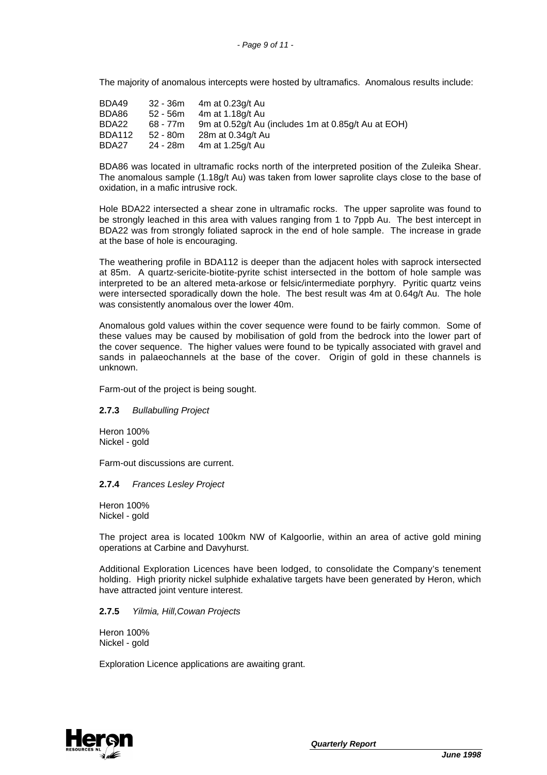The majority of anomalous intercepts were hosted by ultramafics. Anomalous results include:

| BDA49         |          | $32 - 36m$ 4m at 0.23g/t Au                         |
|---------------|----------|-----------------------------------------------------|
| BDA86         |          | 52 - 56m 4m at 1.18g/t Au                           |
| BDA22         | 68 - 77m | 9m at 0.52g/t Au (includes 1m at 0.85g/t Au at EOH) |
| <b>BDA112</b> | 52 - 80m | 28m at 0.34g/t Au                                   |
| BDA27         | 24 - 28m | 4m at 1.25g/t Au                                    |

BDA86 was located in ultramafic rocks north of the interpreted position of the Zuleika Shear. The anomalous sample (1.18g/t Au) was taken from lower saprolite clays close to the base of oxidation, in a mafic intrusive rock.

Hole BDA22 intersected a shear zone in ultramafic rocks. The upper saprolite was found to be strongly leached in this area with values ranging from 1 to 7ppb Au. The best intercept in BDA22 was from strongly foliated saprock in the end of hole sample. The increase in grade at the base of hole is encouraging.

The weathering profile in BDA112 is deeper than the adjacent holes with saprock intersected at 85m. A quartz-sericite-biotite-pyrite schist intersected in the bottom of hole sample was interpreted to be an altered meta-arkose or felsic/intermediate porphyry. Pyritic quartz veins were intersected sporadically down the hole. The best result was 4m at 0.64g/t Au. The hole was consistently anomalous over the lower 40m.

Anomalous gold values within the cover sequence were found to be fairly common. Some of these values may be caused by mobilisation of gold from the bedrock into the lower part of the cover sequence. The higher values were found to be typically associated with gravel and sands in palaeochannels at the base of the cover. Origin of gold in these channels is unknown.

Farm-out of the project is being sought.

### **2.7.3** *Bullabulling Project*

Heron 100% Nickel - gold

Farm-out discussions are current.

### **2.7.4** *Frances Lesley Project*

Heron 100% Nickel - gold

The project area is located 100km NW of Kalgoorlie, within an area of active gold mining operations at Carbine and Davyhurst.

Additional Exploration Licences have been lodged, to consolidate the Company's tenement holding. High priority nickel sulphide exhalative targets have been generated by Heron, which have attracted joint venture interest.

### **2.7.5** *Yilmia, Hill,Cowan Projects*

Heron 100% Nickel - gold

Exploration Licence applications are awaiting grant.

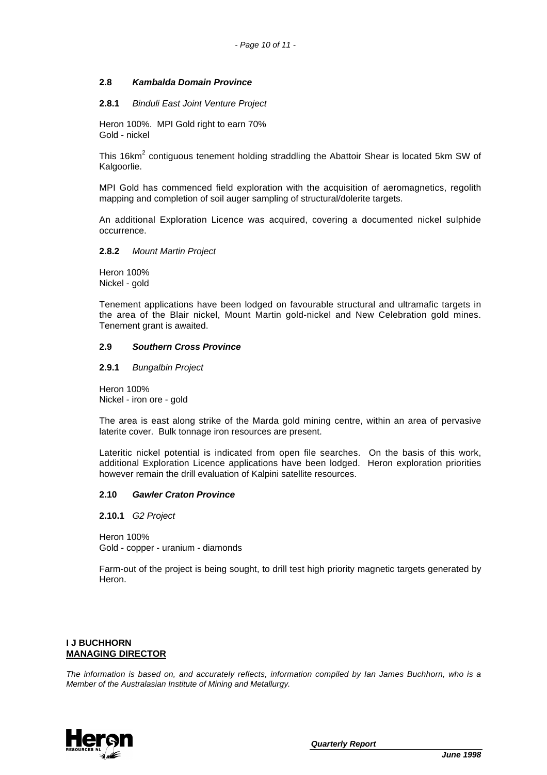## **2.8** *Kambalda Domain Province*

#### **2.8.1** *Binduli East Joint Venture Project*

Heron 100%. MPI Gold right to earn 70% Gold - nickel

This 16km<sup>2</sup> contiguous tenement holding straddling the Abattoir Shear is located 5km SW of Kalgoorlie.

MPI Gold has commenced field exploration with the acquisition of aeromagnetics, regolith mapping and completion of soil auger sampling of structural/dolerite targets.

An additional Exploration Licence was acquired, covering a documented nickel sulphide occurrence.

#### **2.8.2** *Mount Martin Project*

Heron 100% Nickel - gold

Tenement applications have been lodged on favourable structural and ultramafic targets in the area of the Blair nickel, Mount Martin gold-nickel and New Celebration gold mines. Tenement grant is awaited.

### **2.9** *Southern Cross Province*

**2.9.1** *Bungalbin Project*

Heron 100% Nickel - iron ore - gold

The area is east along strike of the Marda gold mining centre, within an area of pervasive laterite cover. Bulk tonnage iron resources are present.

Lateritic nickel potential is indicated from open file searches. On the basis of this work, additional Exploration Licence applications have been lodged. Heron exploration priorities however remain the drill evaluation of Kalpini satellite resources.

### **2.10** *Gawler Craton Province*

**2.10.1** *G2 Project*

Heron 100% Gold - copper - uranium - diamonds

Farm-out of the project is being sought, to drill test high priority magnetic targets generated by Heron.

# **I J BUCHHORN MANAGING DIRECTOR**

*The information is based on, and accurately reflects, information compiled by Ian James Buchhorn, who is a Member of the Australasian Institute of Mining and Metallurgy.*



*Quarterly Report*